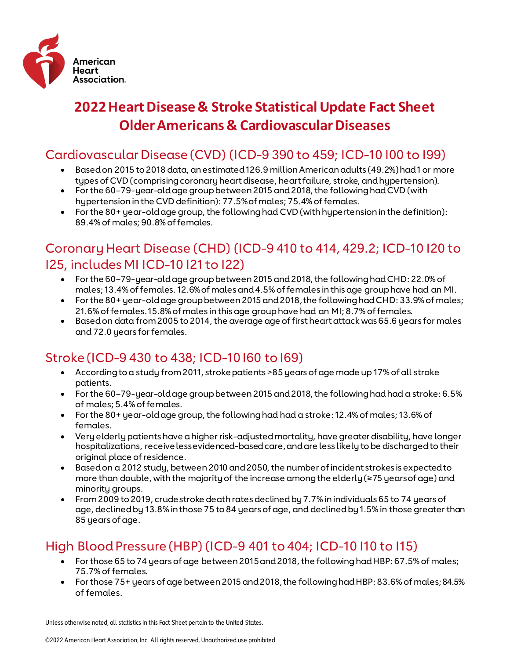

# **2022 Heart Disease & Stroke Statistical Update Fact Sheet Older Americans & Cardiovascular Diseases**

## Cardiovascular Disease (CVD) (ICD-9 390 to 459; ICD-10 I00 to I99)

- Based on 2015 to 2018 data, an estimated 126.9 million American adults (49.2%) had 1 or more types of CVD (comprising coronary heart disease, heart failure, stroke, and hypertension).
- For the 60-79-year-old age group between 2015 and 2018, the following had CVD (with hypertension in the CVD definition): 77.5% of males; 75.4% of females.
- For the 80+ year-old age group, the following had CVD (with hypertension in the definition): 89.4% of males; 90.8% of females.

## Coronary Heart Disease (CHD) (ICD-9 410 to 414, 429.2; ICD-10 I20 to I25, includes MI ICD-10 I21 to I22)

- For the 60–79-year-old age group between 2015 and 2018, the following had CHD: 22.0% of males; 13.4% of females. 12.6% of males and 4.5% of females in this age group have had an MI.
- For the 80+ year-old age group between 2015 and 2018, the following had CHD: 33.9% of males; 21.6% of females. 15.8% of males in this age group have had an MI; 8.7% of females.
- Based on data from 2005 to 2014, the average age of first heart attack was 65.6 years for males and 72.0 years for females.

### Stroke (ICD-9 430 to 438; ICD-10 I60 to I69)

- According to a study from 2011, stroke patients >85 years of age made up 17% of all stroke patients.
- For the 60–79-year-old age group between 2015 and 2018, the following had had a stroke: 6.5% of males; 5.4% of females.
- For the 80+ year-old age group, the following had had a stroke: 12.4% of males; 13.6% of females.
- Very elderly patients have a higher risk-adjusted mortality, have greater disability, have longer hospitalizations, receive less evidenced-based care, and are less likely to be discharged to their original place of residence.
- Based on a 2012 study, between 2010 and 2050, the number of incident strokes is expected to more than double, with the majority of the increase among the elderly (≥75 years of age) and minority groups.
- From 2009 to 2019, crude stroke death rates declined by 7.7% in individuals 65 to 74 years of age, declined by 13.8% in those 75 to 84 years of age, and declined by 1.5% in those greater than 85 years of age.

## High Blood Pressure (HBP) (ICD-9 401 to 404; ICD-10 I10 to I15)

- For those 65 to 74 years of age between 2015 and 2018, the following had HBP: 67.5% of males; 75.7% of females.
- For those 75+ years of age between 2015 and 2018, the following had HBP: 83.6% of males; 84.5% of females.

Unless otherwise noted, all statistics in this Fact Sheet pertain to the United States.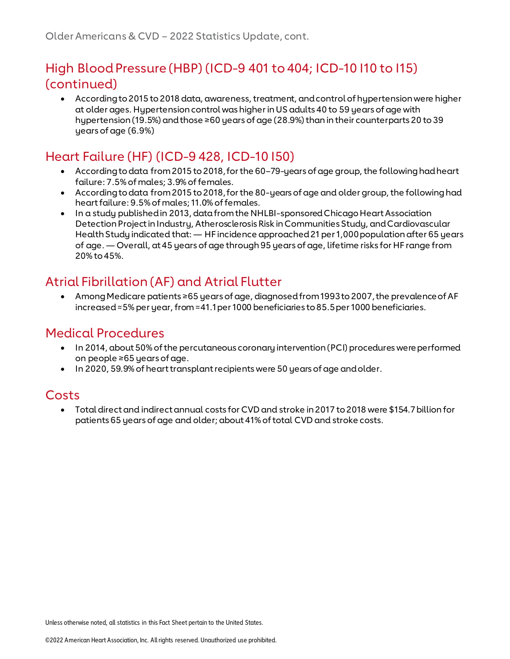## High Blood Pressure (HBP) (ICD-9 401 to 404; ICD-10 I10 to I15) (continued)

• According to 2015 to 2018 data, awareness, treatment, and control of hypertension were higher at older ages. Hypertension control was higher in US adults 40 to 59 years of age with hypertension (19.5%) and those ≥60 years of age (28.9%) than in their counterparts 20 to 39 years of age (6.9%)

## Heart Failure (HF) (ICD-9 428, ICD-10 I50)

- According to data from 2015 to 2018, for the 60-79-years of age group, the following had heart failure: 7.5% of males; 3.9% of females.
- According to data from 2015 to 2018, for the 80-years of age and older group, the following had heart failure: 9.5% of males; 11.0% of females.
- In a study published in 2013, data from the NHLBI-sponsored Chicago Heart Association Detection Project in Industry, Atherosclerosis Risk in Communities Study, and Cardiovascular Health Study indicated that: — HF incidence approached 21 per 1,000 population after 65 years of age. — Overall, at 45 years of age through 95 years of age, lifetime risks for HF range from 20% to 45%.

## Atrial Fibrillation (AF) and Atrial Flutter

• Among Medicare patients ≥65 years of age, diagnosed from 1993 to 2007, the prevalence of AF increased ≈5% per year, from ≈41.1 per 1000 beneficiaries to 85.5 per 1000 beneficiaries.

### Medical Procedures

- In 2014, about 50% of the percutaneous coronary intervention (PCI) procedures were performed on people ≥65 years of age.
- In 2020, 59.9% of heart transplant recipients were 50 years of age and older.

### Costs

• Total direct and indirect annual costs for CVD and stroke in 2017 to 2018 were \$154.7 billion for patients 65 years of age and older; about 41% of total CVD and stroke costs.